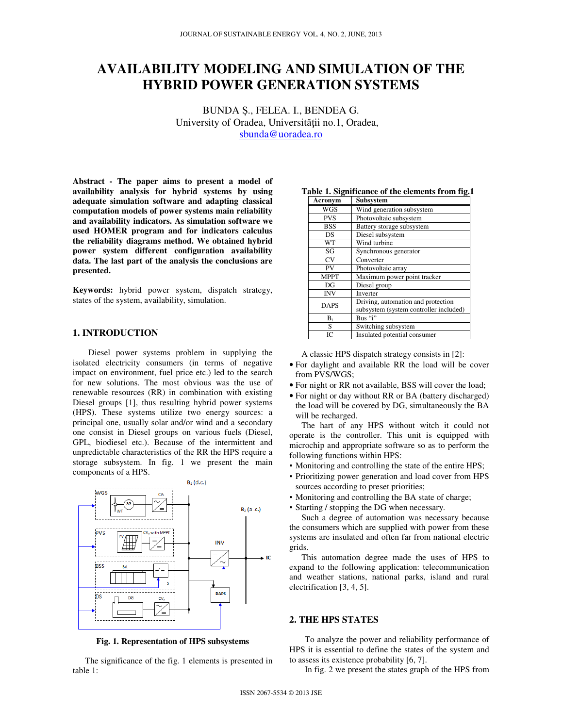# **AVAILABILITY MODELING AND SIMULATION OF THE HYBRID POWER GENERATION SYSTEMS**

BUNDA Ș., FELEA. I., BENDEA G. University of Oradea, Universității no.1, Oradea, sbunda@uoradea.ro

**Abstract - The paper aims to present a model of availability analysis for hybrid systems by using adequate simulation software and adapting classical computation models of power systems main reliability and availability indicators. As simulation software we used HOMER program and for indicators calculus the reliability diagrams method. We obtained hybrid power system different configuration availability data. The last part of the analysis the conclusions are presented.** 

**Keywords:** hybrid power system, dispatch strategy, states of the system, availability, simulation.

# **1. INTRODUCTION**

Diesel power systems problem in supplying the isolated electricity consumers (in terms of negative impact on environment, fuel price etc.) led to the search for new solutions. The most obvious was the use of renewable resources (RR) in combination with existing Diesel groups [1], thus resulting hybrid power systems (HPS). These systems utilize two energy sources: a principal one, usually solar and/or wind and a secondary one consist in Diesel groups on various fuels (Diesel, GPL, biodiesel etc.). Because of the intermittent and unpredictable characteristics of the RR the HPS require a storage subsystem. In fig. 1 we present the main components of a HPS.



**Fig. 1. Representation of HPS subsystems** 

The significance of the fig. 1 elements is presented in table 1:

| Acronym     | Subsystem                              |
|-------------|----------------------------------------|
| <b>WGS</b>  | Wind generation subsystem              |
| <b>PVS</b>  | Photovoltaic subsystem                 |
| <b>BSS</b>  | Battery storage subsystem              |
| DS          | Diesel subsystem                       |
| <b>WT</b>   | Wind turbine                           |
| SG          | Synchronous generator                  |
| CV          | Converter                              |
| PV          | Photovoltaic array                     |
| <b>MPPT</b> | Maximum power point tracker            |
| DG          | Diesel group                           |
| <b>INV</b>  | Inverter                               |
| <b>DAPS</b> | Driving, automation and protection     |
|             | subsystem (system controller included) |
| $B_i$       | Bus "i"                                |
| S           | Switching subsystem                    |
| IС          | Insulated potential consumer           |

**Table 1. Significance of the elements from fig.1** 

A classic HPS dispatch strategy consists in [2]:

- For daylight and available RR the load will be cover from PVS/WGS;
- For night or RR not available, BSS will cover the load;
- For night or day without RR or BA (battery discharged) the load will be covered by DG, simultaneously the BA will be recharged.

The hart of any HPS without witch it could not operate is the controller. This unit is equipped with microchip and appropriate software so as to perform the following functions within HPS:

- Monitoring and controlling the state of the entire HPS;
- Prioritizing power generation and load cover from HPS sources according to preset priorities;
- Monitoring and controlling the BA state of charge;
- Starting / stopping the DG when necessary.

Such a degree of automation was necessary because the consumers which are supplied with power from these systems are insulated and often far from national electric grids.

This automation degree made the uses of HPS to expand to the following application: telecommunication and weather stations, national parks, island and rural electrification [3, 4, 5].

## **2. THE HPS STATES**

To analyze the power and reliability performance of HPS it is essential to define the states of the system and to assess its existence probability [6, 7].

In fig. 2 we present the states graph of the HPS from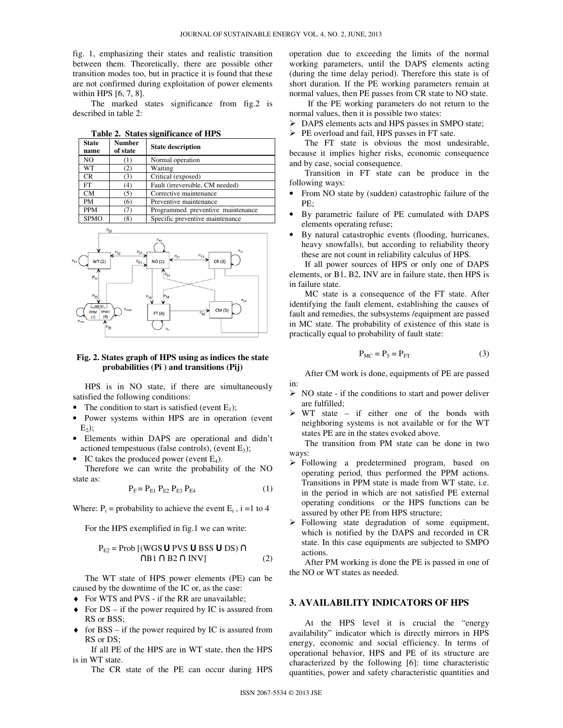fig. 1, emphasizing their states and realistic transition between them. Theoretically, there are possible other transition modes too, but in practice it is found that these are not confirmed during exploitation of power elements within HPS [6, 7, 8].

The marked states significance from fig.2 is described in table 2:

**Table 2. States significance of HPS** 

| <b>State</b><br>name | <b>Number</b><br>of state | <b>State description</b>          |  |  |  |
|----------------------|---------------------------|-----------------------------------|--|--|--|
| NO                   |                           | Normal operation                  |  |  |  |
| WТ                   | ۰2۰                       | Waiting                           |  |  |  |
| CR                   | (3)                       | Critical (exposed)                |  |  |  |
| <b>FT</b>            | (4)                       | Fault (irreversible, CM needed)   |  |  |  |
| CM                   | (5)                       | Corrective maintenance            |  |  |  |
| PM                   | (6)                       | Preventive maintenance            |  |  |  |
| <b>PPM</b>           |                           | Programmed preventive maintenance |  |  |  |
| <b>SPMO</b>          | (8)                       | Specific preventive maintenance   |  |  |  |



#### **Fig. 2. States graph of HPS using as indices the state probabilities (Pi ) and transitions (Pij)**

HPS is in NO state, if there are simultaneously satisfied the following conditions:

- The condition to start is satisfied (event  $E_1$ );
- Power systems within HPS are in operation (event  $E<sub>2</sub>$ ):
- Elements within DAPS are operational and didn't actioned tempestuous (false controls), (event  $E_3$ );
- IC takes the produced power (event  $E_4$ ).

Therefore we can write the probability of the NO state as:

$$
P_{F} = P_{E1} P_{E2} P_{E3} P_{E4}
$$
 (1)

Where:  $P_i$  = probability to achieve the event  $E_i$ ,  $i = 1$  to 4

For the HPS exemplified in fig.1 we can write:

$$
P_{E2} = Prob [(WGS U PVS U BSS U DS) \capMB1  $\cap$  B2  $\cap$  INV] (2)
$$

The WT state of HPS power elements (PE) can be caused by the downtime of the IC or, as the case:

- ♦ For WTS and PVS if the RR are unavailable;
- $\triangle$  For DS if the power required by IC is assured from RS or BSS;
- $\bullet$  for BSS if the power required by IC is assured from RS or DS;

If all PE of the HPS are in WT state, then the HPS is in WT state.

The CR state of the PE can occur during HPS

operation due to exceeding the limits of the normal working parameters, until the DAPS elements acting (during the time delay period). Therefore this state is of short duration. If the PE working parameters remain at normal values, then PE passes from CR state to NO state.

If the PE working parameters do not return to the normal values, then it is possible two states:

 $\triangleright$  DAPS elements acts and HPS passes in SMPO state;

 $\triangleright$  PE overload and fail, HPS passes in FT sate.

The FT state is obvious the most undesirable, because it implies higher risks, economic consequence and by case, social consequence.

Transition in FT state can be produce in the following ways:

- From NO state by (sudden) catastrophic failure of the PE;
- By parametric failure of PE cumulated with DAPS elements operating refuse;
- By natural catastrophic events (flooding, hurricanes, heavy snowfalls), but according to reliability theory these are not count in reliability calculus of HPS.

If all power sources of HPS or only one of DAPS elements, or B1, B2, INV are in failure state, then HPS is in failure state.

MC state is a consequence of the FT state. After identifying the fault element, establishing the causes of fault and remedies, the subsystems /equipment are passed in MC state. The probability of existence of this state is practically equal to probability of fault state:

$$
P_{MC} = P_5 = P_{FT}
$$
 (3)

After CM work is done, equipments of PE are passed in:

- $\triangleright$  NO state if the conditions to start and power deliver are fulfilled;
- $\triangleright$  WT state if either one of the bonds with neighboring systems is not available or for the WT states PE are in the states evoked above.

The transition from PM state can be done in two ways:

- > Following a predetermined program, based on operating period, thus performed the PPM actions. Transitions in PPM state is made from WT state, i.e. in the period in which are not satisfied PE external operating conditions or the HPS functions can be assured by other PE from HPS structure;
- Following state degradation of some equipment, which is notified by the DAPS and recorded in CR state. In this case equipments are subjected to SMPO actions.

After PM working is done the PE is passed in one of the NO or WT states as needed.

# **3. AVAILABILITY INDICATORS OF HPS**

At the HPS level it is crucial the "energy availability" indicator which is directly mirrors in HPS energy, economic and social efficiency. In terms of operational behavior, HPS and PE of its structure are characterized by the following [6]: time characteristic quantities, power and safety characteristic quantities and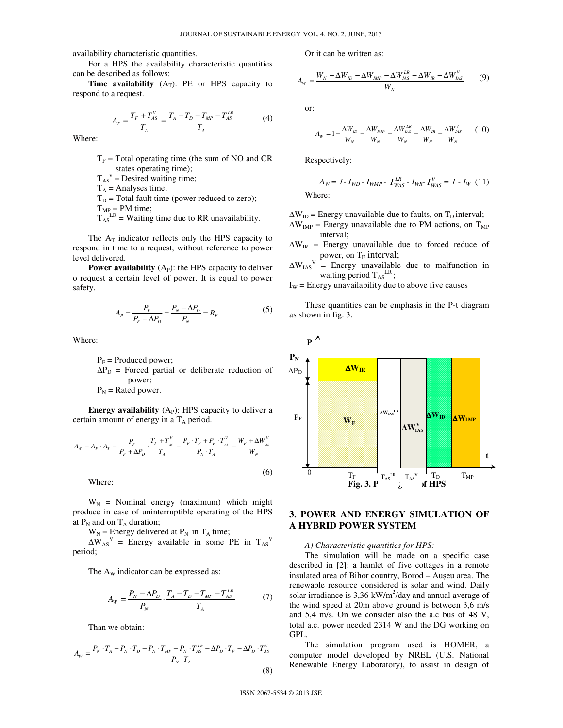availability characteristic quantities.

For a HPS the availability characteristic quantities can be described as follows:

**Time availability**  $(A_T)$ : PE or HPS capacity to respond to a request.

$$
A_{T} = \frac{T_{F} + T_{AS}^{V}}{T_{A}} = \frac{T_{A} - T_{D} - T_{MP} - T_{AS}^{LR}}{T_{A}}
$$
(4)

Where:

- $T_F$  = Total operating time (the sum of NO and CR states operating time);
- $T_{AS}^{\text{v}}$  = Desired waiting time;
- $T_A$  = Analyses time;
- $T_D$  = Total fault time (power reduced to zero);

 $T<sub>MP</sub> = PM time;$ 

 $T_{AS}^{LR}$  = Waiting time due to RR unavailability.

The  $A_T$  indicator reflects only the HPS capacity to respond in time to a request, without reference to power level delivered.

**Power availability**  $(A_P)$ : the HPS capacity to deliver o request a certain level of power. It is equal to power safety.

$$
A_{P} = \frac{P_{F}}{P_{F} + \Delta P_{D}} = \frac{P_{N} - \Delta P_{D}}{P_{N}} = R_{P}
$$
 (5)

Where:

 $P_F$  = Produced power;  $\Delta P_{\text{D}}$  = Forced partial or deliberate reduction of power;  $P_N$  = Rated power.

**Energy availability**  $(A<sub>P</sub>)$ : HPS capacity to deliver a certain amount of energy in a  $T_A$  period.

$$
A_{w} = A_{P} \cdot A_{T} = \frac{P_{F}}{P_{F} + \Delta P_{D}} \cdot \frac{T_{F} + T_{ss}^{V}}{T_{A}} = \frac{P_{F} \cdot T_{F} + P_{F} \cdot T_{ss}^{V}}{P_{N} \cdot T_{A}} = \frac{W_{F} + \Delta W_{ss}^{V}}{W_{N}}
$$

Where:

 $W_N$  = Nominal energy (maximum) which might produce in case of uninterruptible operating of the HPS at  $P_N$  and on  $T_A$  duration;

 $W_N$  = Energy delivered at  $P_N$  in  $T_A$  time;

 $\Delta W_{AS}^V$  = Energy available in some PE in  $T_{AS}^V$ period;

The A<sub>W</sub> indicator can be expressed as:

$$
A_{W} = \frac{P_{N} - \Delta P_{D}}{P_{N}} \cdot \frac{T_{A} - T_{D} - T_{MP} - T_{AS}^{LR}}{T_{A}}
$$
(7)

Than we obtain:

$$
A_W = \frac{P_N \cdot T_A - P_N \cdot T_D - P_N \cdot T_{MP} - P_N \cdot T_{AS}^{LR} - \Delta P_D \cdot T_F - \Delta P_D \cdot T_{AS}^V}{P_N \cdot T_A}
$$
\n(8)

Or it can be written as:

$$
A_{W} = \frac{W_{N} - \Delta W_{ID} - \Delta W_{IMP} - \Delta W_{IAS}^{LR} - \Delta W_{IR} - \Delta W_{IAS}^{V}}{W_{N}}
$$
(9)

or:

$$
A_{w} = 1 - \frac{\Delta W_{ID}}{W_{N}} - \frac{\Delta W_{IMP}}{W_{N}} - \frac{\Delta W_{LS}^{LR}}{W_{N}} - \frac{\Delta W_{IR}}{W_{N}} - \frac{\Delta W_{LSS}^{V}}{W_{N}} \tag{10}
$$

Respectively:

$$
A_W = I - I_{WD} - I_{WMP} - I_{WAS}^{LR} - I_{WR} - I_{WAS}^{V} = I - I_W
$$
 (11)  
Where:

 $\Delta W_{ID}$  = Energy unavailable due to faults, on T<sub>D</sub> interval;

- $\Delta W_{IMP}$  = Energy unavailable due to PM actions, on T<sub>MP</sub> interval;
- $\Delta W_{IR}$  = Energy unavailable due to forced reduce of power, on  $T_F$  interval;
- $\Delta \text{W}_{\text{IAS}}{}^{\text{V}}$  = Energy unavailable due to malfunction in waiting period  $T_{AS}^{LR}$ ;
- $I_W$  = Energy unavailability due to above five causes

These quantities can be emphasis in the P-t diagram as shown in fig. 3.



# **3. POWER AND ENERGY SIMULATION OF A HYBRID POWER SYSTEM**

#### *A) Characteristic quantities for HPS:*

The simulation will be made on a specific case described in [2]: a hamlet of five cottages in a remote insulated area of Bihor country, Borod – Aușeu area. The renewable resource considered is solar and wind. Daily solar irradiance is  $3,36$  kW/m<sup>2</sup>/day and annual average of the wind speed at 20m above ground is between 3,6 m/s and 5,4 m/s. On we consider also the a.c bus of 48 V, total a.c. power needed 2314 W and the DG working on GPL.

The simulation program used is HOMER, a computer model developed by NREL (U.S. National Renewable Energy Laboratory), to assist in design of

(6)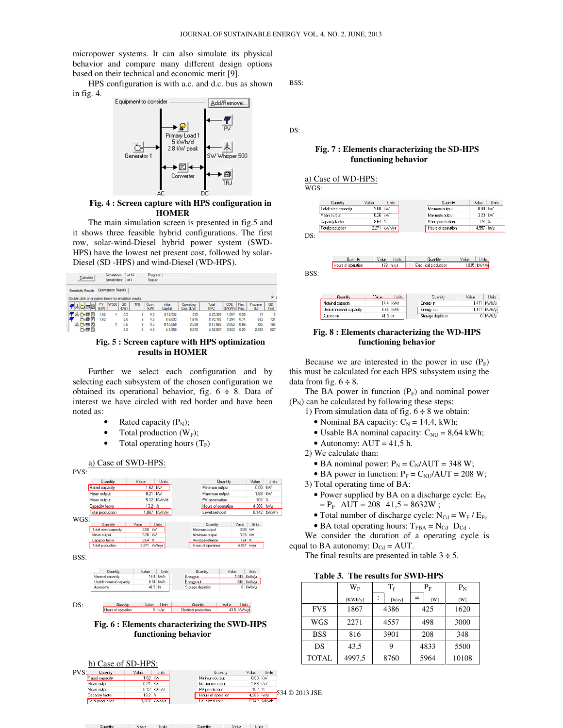micropower systems. It can also simulate its physical behavior and compare many different design options based on their technical and economic merit [9].

HPS configuration is with a.c. and d.c. bus as shown in fig. 4.



## **Fig. 4 : Screen capture with HPS configuration in HOMER**

The main simulation screen is presented in fig.5 and it shows three feasible hybrid configurations. The first row, solar-wind-Diesel hybrid power system (SWD-HPS) have the lowest net present cost, followed by solar-Diesel (SD -HPS) and wind-Diesel (WD-HPS).

| Calculate                                              |            | Simulations: 0 of 16<br>Sensitivities: 0 of 1 |            |            | Progress:<br><b>Status:</b> |                    |                         |                     |                 |               |                              |                           |
|--------------------------------------------------------|------------|-----------------------------------------------|------------|------------|-----------------------------|--------------------|-------------------------|---------------------|-----------------|---------------|------------------------------|---------------------------|
| Sensitivity Results                                    |            | Optimization Results                          |            |            |                             |                    |                         |                     |                 |               |                              |                           |
| Double click on a system below for simulation results. |            |                                               |            |            |                             |                    |                         |                     |                 |               |                              | $\epsilon$                |
| 71652                                                  | PV<br>(kW) | <b>W500</b>                                   | GD<br>(kW) | <b>TRJ</b> | Conv.<br>(kW)               | Initial<br>Capital | Operating<br>Cost(S/yr) | Total<br><b>NPC</b> | COE<br>(\$/kWh) | Ren.<br>Frac. | Propane<br>$\left( L\right)$ | GD<br>(r <sub>arg</sub> ) |
| 未心回忆                                                   | 1.62       |                                               | 5.5        | 8          | 4.5                         | \$18,532           | 535                     | \$25,368            | 1.087           | 0.99          | 37                           | 9                         |
| ÒOZ                                                    | 1.62       |                                               | 5.5        | 8          | 4.5                         | \$9.532            | 1.615                   | \$30.182            | 1.294           | 0.74          | 532                          | 124                       |
| 未心问区                                                   |            |                                               | 5.5        | 8          | 4.5                         | \$15.550           | 2.528                   | \$47,862            | 2.052           | 0.69          | 835                          | 192                       |
| 高自図                                                    |            |                                               | 5.5        | 8          | 4.5                         | \$6.550            | 5.972                   | \$82.897            | 3.553           | 0.00          | 2.285                        | 527                       |

#### **Fig. 5 : Screen capture with HPS optimization results in HOMER**

Further we select each configuration and by selecting each subsystem of the chosen configuration we obtained its operational behavior, fig. 6 **÷** 8. Data of interest we have circled with red border and have been noted as:

- Rated capacity  $(P_N)$ ;
- Total production  $(W_F)$ ;
- Total operating hours  $(T_F)$



## **Fig. 6 : Elements characterizing the SWD-HPS functioning behavior**

Units



Quantity | Value | Units

BSS:

DS:

## **Fig. 7 : Elements characterizing the SD-HPS functioning behavior**

#### a) Case of WD-HPS:

WGS:

| Units                      | Value                |       | Quantity                          |       | Units           | Value   | Quantity                       |     |
|----------------------------|----------------------|-------|-----------------------------------|-------|-----------------|---------|--------------------------------|-----|
| kW                         | 0.00                 |       | Minimum output                    |       |                 | 3.00 kW | Total rated capacity           |     |
| kW                         | 3.23                 |       | Maximum output                    |       | <b>KW</b>       | 0.26    | Mean output                    |     |
| $\boldsymbol{\mathcal{U}}$ | 124                  |       | Wind penetration                  |       | $\frac{2}{\pi}$ | 8.64    | Capacity factor                |     |
| hr/yr                      | 4,557                |       | Hours of operation                |       | kWh/vr          | 2.271   | Total production               |     |
|                            |                      |       |                                   |       |                 |         |                                |     |
|                            |                      |       |                                   |       |                 |         |                                |     |
|                            | Units<br>1,035 kWh/y | Value | Quantity<br>Electrical production | Units | 192 hr/vr       | Value   | Quantity<br>Hours of operation | DS: |

| Quantitu                | Value   | l Inits  | Quantity          | Value | Units        |
|-------------------------|---------|----------|-------------------|-------|--------------|
| Nominal capacity        |         | 14.4 kWh | Energy in         |       | 1.471 kWh/vr |
| Usable nominal capacity |         | 8.64 kWh | Energy out        |       | 1,177 kWh/yr |
| Autonomy                | 41.5 hr |          | Storage depletion |       | 0 kWh/vr     |

## **Fig. 8 : Elements characterizing the WD-HPS functioning behavior**

Because we are interested in the power in use  $(P_F)$ this must be calculated for each HPS subsystem using the data from fig. 6 **÷** 8.

The BA power in function  $(P_F)$  and nominal power  $(P<sub>N</sub>)$  can be calculated by following these steps:

1) From simulation data of fig. 6 **÷** 8 we obtain:

- Nominal BA capacity:  $C_N = 14,4$ , kWh;
- Usable BA nominal capacity:  $C_{NU} = 8,64$  kWh;
- Autonomy:  $AUT = 41.5$  h.

2) We calculate than:

• BA nominal power:  $P_N = C_N/AUT = 348 W$ ;

• BA power in function: 
$$
P_F = C_{NU}/AUT = 208
$$
 W;

3) Total operating time of BA:

- Power supplied by BA on a discharge cycle:  $E_{Pc}$  $= P_{F}$  AUT = 208 .41,5 = 8632W;
- Total number of discharge cycle:  $N_{Cd} = W_F / E_{Pc}$
- BA total operating hours:  $T_{\text{FBA}} = N_{\text{Cd}} \cdot D_{\text{Cd}}$ .

We consider the duration of a operating cycle is equal to BA autonomy:  $D_{Cd} = AUT$ .

The final results are presented in table 3 **÷** 5.

| Table 3. The results for SWD-HPS |
|----------------------------------|
|----------------------------------|

|              | $W_{E}$ | $\rm T_f$   | $P_{\rm F}$ | $P_N$ |
|--------------|---------|-------------|-------------|-------|
|              | [KWh/y] | [h/ay]<br>٠ | [W]         | [W]   |
| <b>FVS</b>   | 1867    | 4386        | 425         | 1620  |
| <b>WGS</b>   | 2271    | 4557        | 498         |       |
| <b>BSS</b>   | 816     | 3901        | 208         | 348   |
| DS           | 43,5    | 9           | 4833        | 5500  |
| <b>TOTAL</b> | 4997,5  | 8760        | 5964        | 10108 |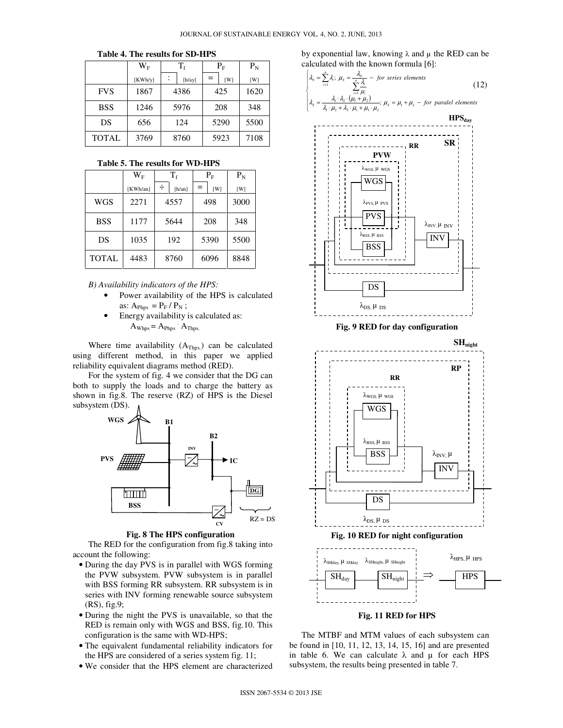|              | $\rm W_F$ | $\mathrm{T_{f}}$         | $\rm P_{F}$ | $P_N$ |
|--------------|-----------|--------------------------|-------------|-------|
|              | [KWh/y]   | $\ddot{\cdot}$<br>[h/ay] | [W]         | [W]   |
| <b>FVS</b>   | 1867      | 4386                     | 425         | 1620  |
| <b>BSS</b>   | 1246      | 5976                     | 208         | 348   |
| DS           | 656       | 124                      | 5290        | 5500  |
| <b>TOTAL</b> | 3769      | 8760                     | 5923        | 7108  |

#### **Table 4. The results for SD-HPS**

**Table 5. The results for WD-HPS** 

|              | $\rm W_F$ | $T_{\rm f}$ |                 | $\rm P_{F}$ |      | $P_{N}$ |  |     |
|--------------|-----------|-------------|-----------------|-------------|------|---------|--|-----|
|              | [KWh/an]  | ÷           | [ <i>h</i> /an] | $=$         | [W]  | [W]     |  |     |
| <b>WGS</b>   | 2271      | 4557        |                 | 498         |      | 3000    |  |     |
| <b>BSS</b>   | 1177      | 5644        |                 |             |      | 208     |  | 348 |
| DS           | 1035      | 192         |                 |             | 5390 | 5500    |  |     |
| <b>TOTAL</b> | 4483      | 8760        |                 |             | 6096 | 8848    |  |     |

*B) Availability indicators of the HPS:* 

- Power availability of the HPS is calculated as:  $A_{\text{Phos}} = P_{\text{F}} / P_{\text{N}}$ ;
- Energy availability is calculated as:  $A_{Whps} = A_{Phps}$   $A_{Thps}$ .

Where time availability  $(A_{Thps.})$  can be calculated using different method, in this paper we applied reliability equivalent diagrams method (RED).

For the system of fig. 4 we consider that the DG can both to supply the loads and to charge the battery as shown in fig.8. The reserve (RZ) of HPS is the Diesel subsystem (DS).



#### **Fig. 8 The HPS configuration**

The RED for the configuration from fig.8 taking into account the following:

- During the day PVS is in parallel with WGS forming the PVW subsystem. PVW subsystem is in parallel with BSS forming RR subsystem. RR subsystem is in series with INV forming renewable source subsystem (RS), fig.9;
- During the night the PVS is unavailable, so that the RED is remain only with WGS and BSS, fig.10. This configuration is the same with WD-HPS;
- The equivalent fundamental reliability indicators for the HPS are considered of a series system fig. 11;
- We consider that the HPS element are characterized

by exponential law, knowing  $\lambda$  and  $\mu$  the RED can be calculated with the known formula [6]:

$$
\begin{cases}\n\lambda_{s} = \sum_{i=1}^{n} \lambda_{i}; \ \mu_{s} = \frac{\lambda_{s}}{\sum_{i=1}^{n} \frac{\lambda_{i}}{\mu_{i}}} - \text{ for series elements} \\
\lambda_{s} = \frac{\lambda_{1} \cdot \lambda_{2} \cdot (\mu_{1} + \mu_{2})}{\lambda_{1} \cdot \mu_{2} + \lambda_{2} \cdot \mu_{1} + \mu_{1} \cdot \mu_{2}}, \ \mu_{s} = \mu_{1} + \mu_{2} - \text{ for parallel elements}\n\end{cases}
$$
\n(12)



**Fig. 9 RED for day configuration** 



The MTBF and MTM values of each subsystem can be found in [10, 11, 12, 13, 14, 15, 16] and are presented in table 6. We can calculate  $\lambda$  and  $\mu$  for each HPS subsystem, the results being presented in table 7.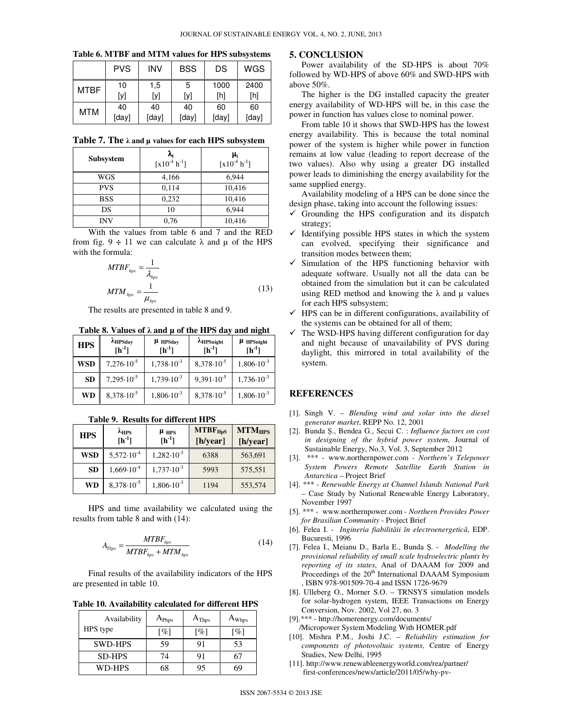|             | <b>PVS</b> | INV   | <b>BSS</b> | DS    | WGS   |
|-------------|------------|-------|------------|-------|-------|
| <b>MTBF</b> | 10         | 1,5   | 5          | 1000  | 2400  |
|             | [y]        | [y]   | [y]        | [h]   | [h]   |
| <b>MTM</b>  | 40         | 40    | 40         | 60    | 60    |
|             | [day]      | [day] | [day]      | [day] | [day] |

**Table 6. MTBF and MTM values for HPS subsystems** 

**Table 7. The** λ **and µ values for each HPS subsystem**

| Subsystem  | $\frac{\lambda_i}{[x10^4 \text{ h}^2]}$ | $\boldsymbol{\mu_i}$<br>$[x10^{-4} h^{-1}]$ |
|------------|-----------------------------------------|---------------------------------------------|
| WGS        | 4,166                                   | 6,944                                       |
| <b>PVS</b> | 0,114                                   | 10,416                                      |
| <b>BSS</b> | 0,232                                   | 10,416                                      |
| DS         | 10                                      | 6,944                                       |
| INV        | 0.76                                    | 10,416                                      |

With the values from table 6 and 7 and the RED from fig.  $9 \div 11$  we can calculate  $\lambda$  and  $\mu$  of the HPS with the formula:

$$
MTBF_{hps} = \frac{1}{\lambda_{hps}}
$$
  

$$
MTM_{hps} = \frac{1}{\mu_{hps}}
$$
 (13)

The results are presented in table 8 and 9.

**Table 8. Values of** λ **and µ of the HPS day and night** 

| <b>HPS</b> | AHPSday<br>$[h^{-1}]$ | $\mu$ HPSday<br>$[h^{-1}]$ | $A$ HPSnight<br>$[h^{-1}]$ | $\mu$ HPS night<br>$[h^{-1}]$ |
|------------|-----------------------|----------------------------|----------------------------|-------------------------------|
| <b>WSD</b> | $7,276 \cdot 10^{-5}$ | $1,738 \cdot 10^{-3}$      | $8,378 \cdot 10^{-5}$      | $1,806 \cdot 10^{-3}$         |
| <b>SD</b>  | $7,295\cdot10^{-5}$   | $1,739.10^{-3}$            | $9,391 \cdot 10^{-5}$      | $1,736 \cdot 10^{-3}$         |
| <b>WD</b>  | $8,378 \cdot 10^{-5}$ | $1,806 \cdot 10^{-3}$      | $8,378 \cdot 10^{-5}$      | $1,806 \cdot 10^{-3}$         |

| <b>HPS</b> | $\lambda_{\rm HPS}$<br>$[h^{-1}]$ | $\mu$ HPS<br>$[h^{-1}]$ | $MTBF_{HpS}$<br>[h/year] | $MTM_{HPS}$<br>[h/year] |
|------------|-----------------------------------|-------------------------|--------------------------|-------------------------|
| <b>WSD</b> | $5,572 \cdot 10^{-4}$             | $1,282 \cdot 10^{-3}$   | 6388                     | 563,691                 |
| <b>SD</b>  | $1,669 \cdot 10^{-4}$             | $1,737 \cdot 10^{-3}$   | 5993                     | 575,551                 |
| <b>WD</b>  | $8,378 \cdot 10^{-5}$             | $1,806 \cdot 10^{-3}$   | 1194                     | 553,574                 |

**Table 9. Results for different HPS** 

HPS and time availability we calculated using the results from table 8 and with (14):

$$
A_{\text{Thps}} = \frac{MTBF_{\text{hps}}}{MTBF_{\text{hps}} + MTM_{\text{hps}}} \tag{14}
$$

Final results of the availability indicators of the HPS are presented in table 10.

**Table 10. Availability calculated for different HPS**

| Availability   | $A_{\rm Phys}$              | $A_{\text{Thps}}$  | $A_{Whps}$         |
|----------------|-----------------------------|--------------------|--------------------|
| HPS type       | $\mathcal{O}_{\mathcal{O}}$ | $\lceil \% \rceil$ | $\lceil \% \rceil$ |
| <b>SWD-HPS</b> | 59                          | 91                 | 53                 |
| <b>SD-HPS</b>  | 74                          | 91                 |                    |
| WD-HPS         | 68                          | 95                 |                    |

# **5. CONCLUSION**

Power availability of the SD-HPS is about 70% followed by WD-HPS of above 60% and SWD-HPS with above 50%.

The higher is the DG installed capacity the greater energy availability of WD-HPS will be, in this case the power in function has values close to nominal power.

From table 10 it shows that SWD-HPS has the lowest energy availability. This is because the total nominal power of the system is higher while power in function remains at low value (leading to report decrease of the two values). Also why using a greater DG installed power leads to diminishing the energy availability for the same supplied energy.

Availability modeling of a HPS can be done since the design phase, taking into account the following issues:

- $\checkmark$  Grounding the HPS configuration and its dispatch strategy;
- $\checkmark$  Identifying possible HPS states in which the system can evolved, specifying their significance and transition modes between them;
- $\checkmark$  Simulation of the HPS functioning behavior with adequate software. Usually not all the data can be obtained from the simulation but it can be calculated using RED method and knowing the  $\lambda$  and  $\mu$  values for each HPS subsystem;
- $\checkmark$  HPS can be in different configurations, availability of the systems can be obtained for all of them;
- The WSD-HPS having different configuration for day and night because of unavailability of PVS during daylight, this mirrored in total availability of the system.

# **REFERENCES**

- [1]. Singh V. *Blending wind and solar into the diesel generator market*, REPP No. 12, 2001
- [2]. Bunda Ș., Bendea G., Secui C. : *Influence factors on cost in designing of the hybrid power system*, Journal of Sustainable Energy, No.3, Vol. 3, September 2012
- [3]. \*\*\* www.northernpower.com *Northern's Telepower System Powers Remote Satellite Earth Station in Antarctica* – Project Brief
- [4]. \*\*\* *Renewable Energy at Channel Islands National Park* – Case Study by National Renewable Energy Laboratory, November 1997
- [5]. \*\*\* www.northernpower.com *Northern Provides Power for Brasilian Community* - Project Brief
- [6]. Felea I. *Ingineria fiabilit*ă*ii în electroenergetic*ă, EDP. Bucuresti, 1996
- [7]. Felea I., Meianu D., Barla E., Bunda Ș. *Modelling the provisional reliability of small scale hydroelectric plants by reporting of its states*, Anal of DAAAM for 2009 and Proceedings of the 20<sup>th</sup> International DAAAM Symposium , ISBN 978-901509-70-4 and ISSN 1726-9679
- [8]. Ulleberg O., Morner S.O. TRNSYS simulation models for solar-hydrogen system, IEEE Transactions on Energy Conversion, Nov. 2002, Vol 27, no. 3
- [9].\*\*\* http://homerenergy.com/documents/ /Micropower System Modeling With HOMER.pdf
- [10]. Mishra P.M., Joshi J.C. *Reliability estimation for components of photovoltaic systems*, Centre of Energy Studies, New Delhi, 1995
- [11]. http://www.renewableenergyworld.com/rea/partner/ first-conferences/news/article/2011/05/why-pv-